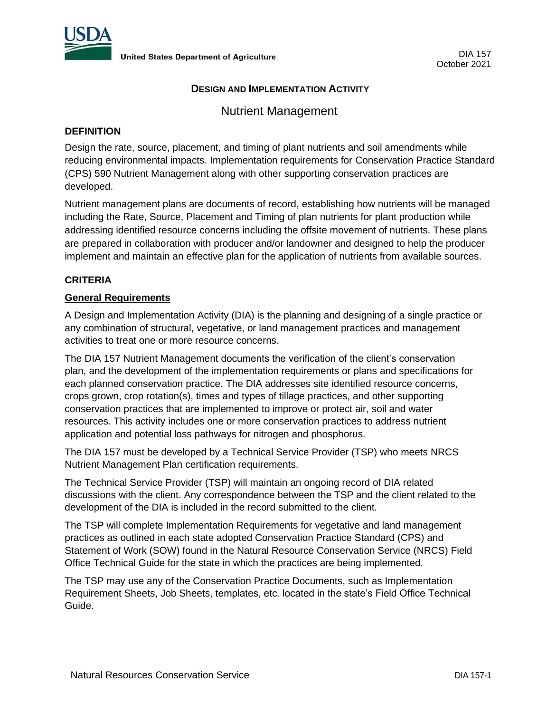

## **DESIGN AND IMPLEMENTATION ACTIVITY**

# Nutrient Management

## **DEFINITION**

Design the rate, source, placement, and timing of plant nutrients and soil amendments while reducing environmental impacts. Implementation requirements for Conservation Practice Standard (CPS) 590 Nutrient Management along with other supporting conservation practices are developed.

Nutrient management plans are documents of record, establishing how nutrients will be managed including the Rate, Source, Placement and Timing of plan nutrients for plant production while addressing identified resource concerns including the offsite movement of nutrients. These plans are prepared in collaboration with producer and/or landowner and designed to help the producer implement and maintain an effective plan for the application of nutrients from available sources.

## **CRITERIA**

### **General Requirements**

A Design and Implementation Activity (DIA) is the planning and designing of a single practice or any combination of structural, vegetative, or land management practices and management activities to treat one or more resource concerns.

The DIA 157 Nutrient Management documents the verification of the client's conservation plan, and the development of the implementation requirements or plans and specifications for each planned conservation practice. The DIA addresses site identified resource concerns, crops grown, crop rotation(s), times and types of tillage practices, and other supporting conservation practices that are implemented to improve or protect air, soil and water resources. This activity includes one or more conservation practices to address nutrient application and potential loss pathways for nitrogen and phosphorus.

The DIA 157 must be developed by a Technical Service Provider (TSP) who meets NRCS Nutrient Management Plan certification requirements.

The Technical Service Provider (TSP) will maintain an ongoing record of DIA related discussions with the client. Any correspondence between the TSP and the client related to the development of the DIA is included in the record submitted to the client.

The TSP will complete Implementation Requirements for vegetative and land management practices as outlined in each state adopted Conservation Practice Standard (CPS) and Statement of Work (SOW) found in the Natural Resource Conservation Service (NRCS) Field Office Technical Guide for the state in which the practices are being implemented.

The TSP may use any of the Conservation Practice Documents, such as Implementation Requirement Sheets, Job Sheets, templates, etc. located in the state's Field Office Technical Guide.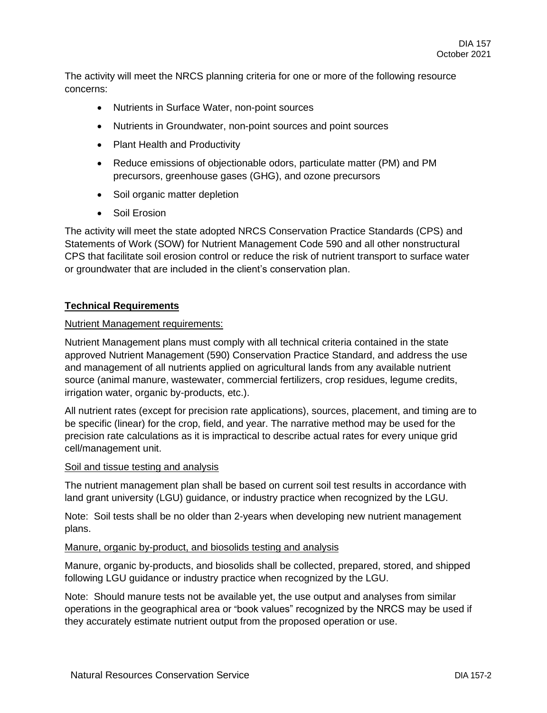The activity will meet the NRCS planning criteria for one or more of the following resource concerns:

- Nutrients in Surface Water, non-point sources
- Nutrients in Groundwater, non-point sources and point sources
- Plant Health and Productivity
- Reduce emissions of objectionable odors, particulate matter (PM) and PM precursors, greenhouse gases (GHG), and ozone precursors
- Soil organic matter depletion
- Soil Erosion

The activity will meet the state adopted NRCS Conservation Practice Standards (CPS) and Statements of Work (SOW) for Nutrient Management Code 590 and all other nonstructural CPS that facilitate soil erosion control or reduce the risk of nutrient transport to surface water or groundwater that are included in the client's conservation plan.

## **Technical Requirements**

### Nutrient Management requirements:

Nutrient Management plans must comply with all technical criteria contained in the state approved Nutrient Management (590) Conservation Practice Standard, and address the use and management of all nutrients applied on agricultural lands from any available nutrient source (animal manure, wastewater, commercial fertilizers, crop residues, legume credits, irrigation water, organic by-products, etc.).

All nutrient rates (except for precision rate applications), sources, placement, and timing are to be specific (linear) for the crop, field, and year. The narrative method may be used for the precision rate calculations as it is impractical to describe actual rates for every unique grid cell/management unit.

#### Soil and tissue testing and analysis

The nutrient management plan shall be based on current soil test results in accordance with land grant university (LGU) guidance, or industry practice when recognized by the LGU.

Note: Soil tests shall be no older than 2-years when developing new nutrient management plans.

#### Manure, organic by-product, and biosolids testing and analysis

Manure, organic by-products, and biosolids shall be collected, prepared, stored, and shipped following LGU guidance or industry practice when recognized by the LGU.

Note: Should manure tests not be available yet, the use output and analyses from similar operations in the geographical area or "book values" recognized by the NRCS may be used if they accurately estimate nutrient output from the proposed operation or use.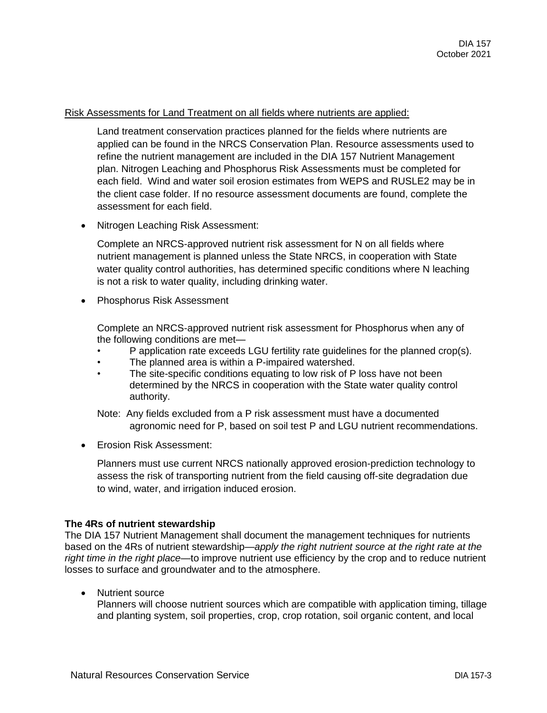### Risk Assessments for Land Treatment on all fields where nutrients are applied:

Land treatment conservation practices planned for the fields where nutrients are applied can be found in the NRCS Conservation Plan. Resource assessments used to refine the nutrient management are included in the DIA 157 Nutrient Management plan. Nitrogen Leaching and Phosphorus Risk Assessments must be completed for each field. Wind and water soil erosion estimates from WEPS and RUSLE2 may be in the client case folder. If no resource assessment documents are found, complete the assessment for each field.

• Nitrogen Leaching Risk Assessment:

Complete an NRCS-approved nutrient risk assessment for N on all fields where nutrient management is planned unless the State NRCS, in cooperation with State water quality control authorities, has determined specific conditions where N leaching is not a risk to water quality, including drinking water.

• Phosphorus Risk Assessment

Complete an NRCS-approved nutrient risk assessment for Phosphorus when any of the following conditions are met—

- P application rate exceeds LGU fertility rate guidelines for the planned crop(s).
- The planned area is within a P-impaired watershed.
- The site-specific conditions equating to low risk of P loss have not been determined by the NRCS in cooperation with the State water quality control authority.

Note: Any fields excluded from a P risk assessment must have a documented agronomic need for P, based on soil test P and LGU nutrient recommendations.

• Erosion Risk Assessment:

Planners must use current NRCS nationally approved erosion-prediction technology to assess the risk of transporting nutrient from the field causing off-site degradation due to wind, water, and irrigation induced erosion.

#### **The 4Rs of nutrient stewardship**

The DIA 157 Nutrient Management shall document the management techniques for nutrients based on the 4Rs of nutrient stewardship—*apply the right nutrient source at the right rate at the right time in the right place*—to improve nutrient use efficiency by the crop and to reduce nutrient losses to surface and groundwater and to the atmosphere.

• Nutrient source

Planners will choose nutrient sources which are compatible with application timing, tillage and planting system, soil properties, crop, crop rotation, soil organic content, and local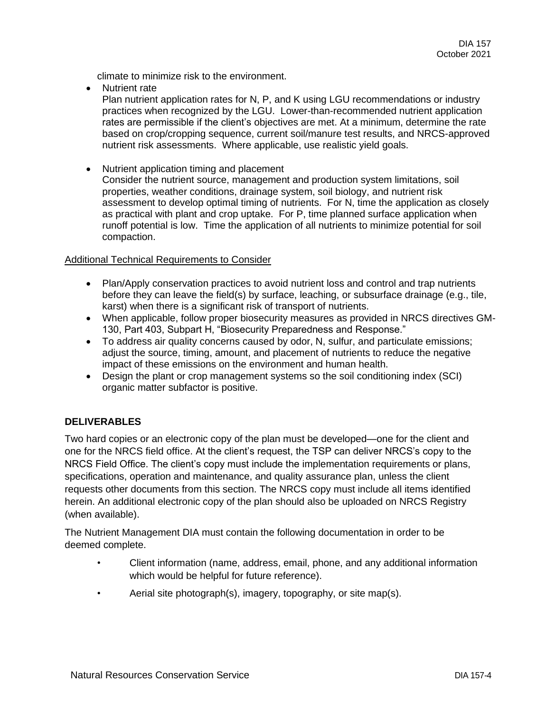climate to minimize risk to the environment.

• Nutrient rate

Plan nutrient application rates for N, P, and K using LGU recommendations or industry practices when recognized by the LGU. Lower-than-recommended nutrient application rates are permissible if the client's objectives are met. At a minimum, determine the rate based on crop/cropping sequence, current soil/manure test results, and NRCS-approved nutrient risk assessments. Where applicable, use realistic yield goals.

• Nutrient application timing and placement

Consider the nutrient source, management and production system limitations, soil properties, weather conditions, drainage system, soil biology, and nutrient risk assessment to develop optimal timing of nutrients. For N, time the application as closely as practical with plant and crop uptake. For P, time planned surface application when runoff potential is low. Time the application of all nutrients to minimize potential for soil compaction.

#### Additional Technical Requirements to Consider

- Plan/Apply conservation practices to avoid nutrient loss and control and trap nutrients before they can leave the field(s) by surface, leaching, or subsurface drainage (e.g., tile, karst) when there is a significant risk of transport of nutrients.
- When applicable, follow proper biosecurity measures as provided in NRCS directives GM-130, Part 403, Subpart H, "Biosecurity Preparedness and Response."
- To address air quality concerns caused by odor, N, sulfur, and particulate emissions; adjust the source, timing, amount, and placement of nutrients to reduce the negative impact of these emissions on the environment and human health.
- Design the plant or crop management systems so the soil conditioning index (SCI) organic matter subfactor is positive.

# **DELIVERABLES**

Two hard copies or an electronic copy of the plan must be developed—one for the client and one for the NRCS field office. At the client's request, the TSP can deliver NRCS's copy to the NRCS Field Office. The client's copy must include the implementation requirements or plans, specifications, operation and maintenance, and quality assurance plan, unless the client requests other documents from this section. The NRCS copy must include all items identified herein. An additional electronic copy of the plan should also be uploaded on NRCS Registry (when available).

The Nutrient Management DIA must contain the following documentation in order to be deemed complete.

- Client information (name, address, email, phone, and any additional information which would be helpful for future reference).
- Aerial site photograph(s), imagery, topography, or site map(s).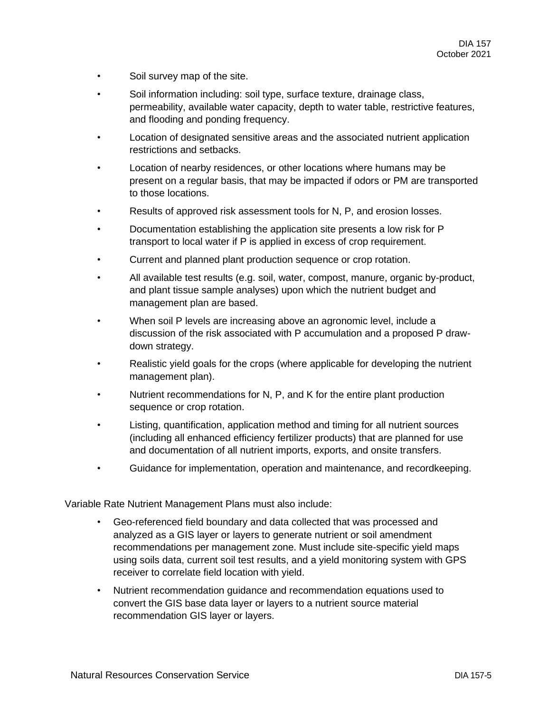- Soil survey map of the site.
- Soil information including: soil type, surface texture, drainage class, permeability, available water capacity, depth to water table, restrictive features, and flooding and ponding frequency.
- Location of designated sensitive areas and the associated nutrient application restrictions and setbacks.
- Location of nearby residences, or other locations where humans may be present on a regular basis, that may be impacted if odors or PM are transported to those locations.
- Results of approved risk assessment tools for N, P, and erosion losses.
- Documentation establishing the application site presents a low risk for P transport to local water if P is applied in excess of crop requirement.
- Current and planned plant production sequence or crop rotation.
- All available test results (e.g. soil, water, compost, manure, organic by-product, and plant tissue sample analyses) upon which the nutrient budget and management plan are based.
- When soil P levels are increasing above an agronomic level, include a discussion of the risk associated with P accumulation and a proposed P drawdown strategy.
- Realistic yield goals for the crops (where applicable for developing the nutrient management plan).
- Nutrient recommendations for N, P, and K for the entire plant production sequence or crop rotation.
- Listing, quantification, application method and timing for all nutrient sources (including all enhanced efficiency fertilizer products) that are planned for use and documentation of all nutrient imports, exports, and onsite transfers.
- Guidance for implementation, operation and maintenance, and recordkeeping.

Variable Rate Nutrient Management Plans must also include:

- Geo-referenced field boundary and data collected that was processed and analyzed as a GIS layer or layers to generate nutrient or soil amendment recommendations per management zone. Must include site-specific yield maps using soils data, current soil test results, and a yield monitoring system with GPS receiver to correlate field location with yield.
- Nutrient recommendation guidance and recommendation equations used to convert the GIS base data layer or layers to a nutrient source material recommendation GIS layer or layers.